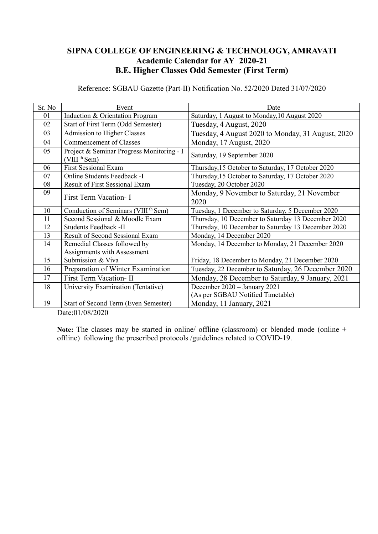### **SIPNA COLLEGE OF ENGINEERING & TECHNOLOGY, AMRAVATI Academic Calendar for AY 2020-21 B.E. Higher Classes Odd Semester (First Term)**

Reference: SGBAU Gazette (Part-II) Notification No. 52/2020 Dated 31/07/2020

| Sr. No | Event                                                                 | Date                                                              |
|--------|-----------------------------------------------------------------------|-------------------------------------------------------------------|
| 01     | Induction & Orientation Program                                       | Saturday, 1 August to Monday, 10 August 2020                      |
| 02     | Start of First Term (Odd Semester)                                    | Tuesday, 4 August, 2020                                           |
| 03     | Admission to Higher Classes                                           | Tuesday, 4 August 2020 to Monday, 31 August, 2020                 |
| 04     | <b>Commencement of Classes</b>                                        | Monday, 17 August, 2020                                           |
| 05     | Project & Seminar Progress Monitoring - I<br>(VIII <sup>th</sup> Sem) | Saturday, 19 September 2020                                       |
| 06     | <b>First Sessional Exam</b>                                           | Thursday, 15 October to Saturday, 17 October 2020                 |
| 07     | Online Students Feedback -I                                           | Thursday, 15 October to Saturday, 17 October 2020                 |
| 08     | <b>Result of First Sessional Exam</b>                                 | Tuesday, 20 October 2020                                          |
| 09     | First Term Vacation- I                                                | Monday, 9 November to Saturday, 21 November<br>2020               |
| 10     | Conduction of Seminars (VIII <sup>th</sup> Sem)                       | Tuesday, 1 December to Saturday, 5 December 2020                  |
| 11     | Second Sessional & Moodle Exam                                        | Thursday, 10 December to Saturday 13 December 2020                |
| 12     | Students Feedback -II                                                 | Thursday, 10 December to Saturday 13 December 2020                |
| 13     | Result of Second Sessional Exam                                       | Monday, 14 December 2020                                          |
| 14     | Remedial Classes followed by<br>Assignments with Assessment           | Monday, 14 December to Monday, 21 December 2020                   |
| 15     | Submission & Viva                                                     | Friday, 18 December to Monday, 21 December 2020                   |
| 16     | Preparation of Winter Examination                                     | Tuesday, 22 December to Saturday, 26 December 2020                |
| 17     | First Term Vacation- II                                               | Monday, 28 December to Saturday, 9 January, 2021                  |
| 18     | University Examination (Tentative)                                    | December 2020 - January 2021<br>(As per SGBAU Notified Timetable) |
| 19     | Start of Second Term (Even Semester)                                  | Monday, 11 January, 2021                                          |

Date:01/08/2020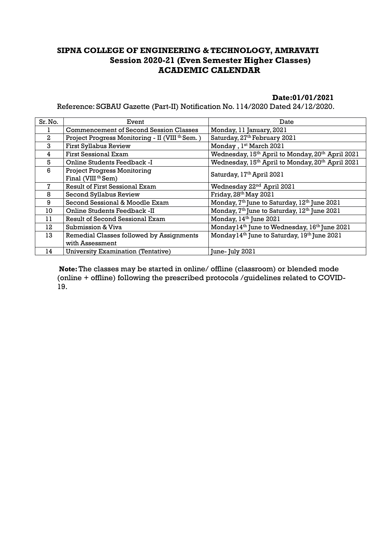### **SIPNA COLLEGE OF ENGINEERING & TECHNOLOGY, AMRAVATI Session 2020-21 (Even Semester Higher Classes) ACADEMIC CALENDAR**

#### **Date:01/01/2021**

Reference: SGBAU Gazette (Part-II) Notification No. 114/2020 Dated 24/12/2020.

| Sr. No.      | Event                                                                | Date                                                                     |
|--------------|----------------------------------------------------------------------|--------------------------------------------------------------------------|
|              | <b>Commencement of Second Session Classes</b>                        | Monday, 11 January, 2021                                                 |
| $\mathbf{2}$ | Project Progress Monitoring - II (VIII <sup>th</sup> Sem.)           | Saturday, 27th February 2021                                             |
| 3            | <b>First Syllabus Review</b>                                         | Monday, 1st March 2021                                                   |
| 4            | <b>First Sessional Exam</b>                                          | Wednesday, 15 <sup>th</sup> April to Monday, 20 <sup>th</sup> April 2021 |
| 5            | Online Students Feedback -I                                          | Wednesday, 15 <sup>th</sup> April to Monday, 20 <sup>th</sup> April 2021 |
| 6            | <b>Project Progress Monitoring</b><br>Final (VIII <sup>th</sup> Sem) | Saturday, 17th April 2021                                                |
|              | <b>Result of First Sessional Exam</b>                                | Wednesday 22 <sup>nd</sup> April 2021                                    |
| 8            | Second Syllabus Review                                               | Friday, 28th May 2021                                                    |
| 9            | Second Sessional & Moodle Exam                                       | Monday, 7 <sup>th</sup> June to Saturday, 12 <sup>th</sup> June 2021     |
| 10           | Online Students Feedback -II                                         | Monday, 7 <sup>th</sup> June to Saturday, 12 <sup>th</sup> June 2021     |
| 11           | Result of Second Sessional Exam                                      | Monday, 14 <sup>th</sup> June 2021                                       |
| 12           | Submission & Viva                                                    | Monday14 <sup>th</sup> June to Wednesday, 16 <sup>th</sup> June 2021     |
| 13           | Remedial Classes followed by Assignments                             | Monday14 <sup>th</sup> June to Saturday, 19 <sup>th</sup> June 2021      |
|              | with Assessment                                                      |                                                                          |
| 14           | <b>University Examination (Tentative)</b>                            | June- July 2021                                                          |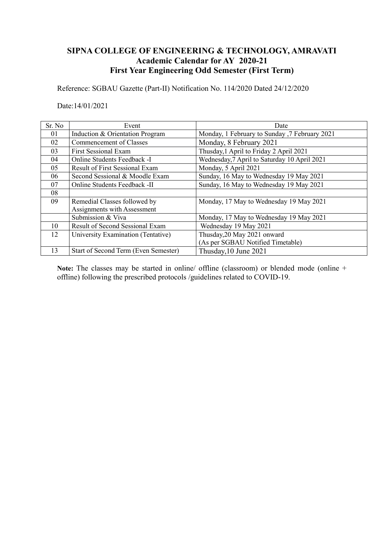### **SIPNA COLLEGE OF ENGINEERING & TECHNOLOGY, AMRAVATI Academic Calendar for AY 2020-21 First Year Engineering Odd Semester (First Term)**

Reference: SGBAU Gazette (Part-II) Notification No. 114/2020 Dated 24/12/2020

Date:14/01/2021

| Sr. No | Event                                 | Date                                          |
|--------|---------------------------------------|-----------------------------------------------|
| 01     | Induction & Orientation Program       | Monday, 1 February to Sunday, 7 February 2021 |
| 02     | Commencement of Classes               | Monday, 8 February 2021                       |
| 03     | <b>First Sessional Exam</b>           | Thusday, 1 April to Friday 2 April 2021       |
| 04     | <b>Online Students Feedback -I</b>    | Wednesday, 7 April to Saturday 10 April 2021  |
| 05     | <b>Result of First Sessional Exam</b> | Monday, 5 April 2021                          |
| 06     | Second Sessional & Moodle Exam        | Sunday, 16 May to Wednesday 19 May 2021       |
| 07     | Online Students Feedback -II          | Sunday, 16 May to Wednesday 19 May 2021       |
| 08     |                                       |                                               |
| 09     | Remedial Classes followed by          | Monday, 17 May to Wednesday 19 May 2021       |
|        | Assignments with Assessment           |                                               |
|        | Submission & Viva                     | Monday, 17 May to Wednesday 19 May 2021       |
| 10     | Result of Second Sessional Exam       | Wednesday 19 May 2021                         |
| 12     | University Examination (Tentative)    | Thusday, 20 May 2021 onward                   |
|        |                                       | (As per SGBAU Notified Timetable)             |
| 13     | Start of Second Term (Even Semester)  | Thusday, 10 June 2021                         |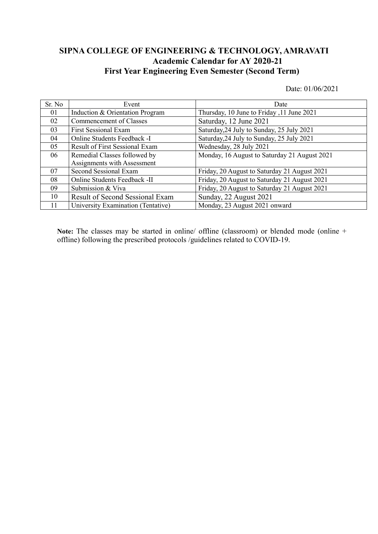### **SIPNA COLLEGE OF ENGINEERING & TECHNOLOGY, AMRAVATI Academic Calendar for AY 2020-21 First Year Engineering Even Semester (Second Term)**

Date: 01/06/2021

| Sr. No | Event                                 | Date                                         |
|--------|---------------------------------------|----------------------------------------------|
| 01     | Induction & Orientation Program       | Thursday, 10 June to Friday , 11 June 2021   |
| 02     | Commencement of Classes               | Saturday, 12 June 2021                       |
| 03     | <b>First Sessional Exam</b>           | Saturday, 24 July to Sunday, 25 July 2021    |
| 04     | Online Students Feedback -I           | Saturday, 24 July to Sunday, 25 July 2021    |
| 05     | <b>Result of First Sessional Exam</b> | Wednesday, 28 July 2021                      |
| 06     | Remedial Classes followed by          | Monday, 16 August to Saturday 21 August 2021 |
|        | Assignments with Assessment           |                                              |
| 07     | Second Sessional Exam                 | Friday, 20 August to Saturday 21 August 2021 |
| 08     | Online Students Feedback -II          | Friday, 20 August to Saturday 21 August 2021 |
| 09     | Submission & Viva                     | Friday, 20 August to Saturday 21 August 2021 |
| 10     | Result of Second Sessional Exam       | Sunday, 22 August 2021                       |
| 11     | University Examination (Tentative)    | Monday, 23 August 2021 onward                |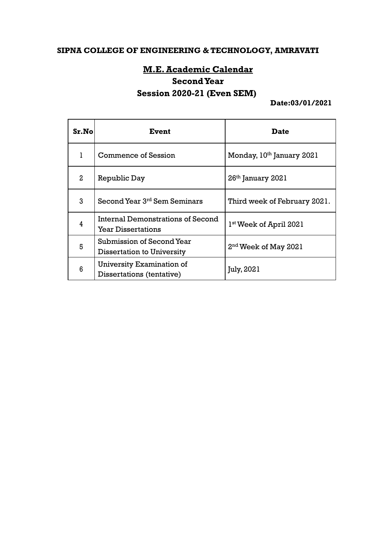## **SIPNA COLLEGE OF ENGINEERING & TECHNOLOGY, AMRAVATI**

### **M.E.Academic Calendar**

### **SecondYear**

# **Session 2020-21 (Even SEM)**

**Date:03/01/2021**

| Sr.No          | Event                                                          | <b>Date</b>                        |
|----------------|----------------------------------------------------------------|------------------------------------|
|                | <b>Commence of Session</b>                                     | Monday, 10th January 2021          |
| $\overline{a}$ | Republic Day                                                   | $26th$ January $2021$              |
| 3              | Second Year 3 <sup>rd</sup> Sem Seminars                       | Third week of February 2021.       |
| 4              | Internal Demonstrations of Second<br><b>Year Dissertations</b> | 1 <sup>st</sup> Week of April 2021 |
| 5              | Submission of Second Year<br><b>Dissertation to University</b> | 2 <sup>nd</sup> Week of May 2021   |
| 6              | University Examination of<br>Dissertations (tentative)         | July, 2021                         |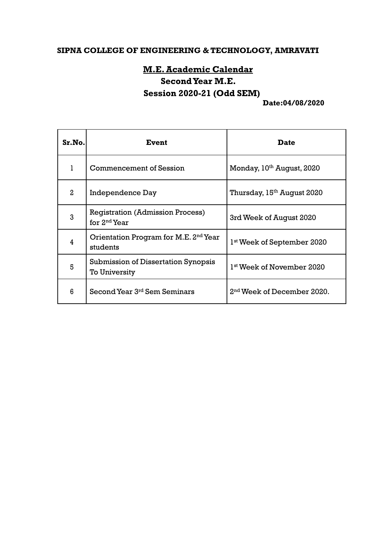## **SIPNA COLLEGE OF ENGINEERING & TECHNOLOGY, AMRAVATI**

# **M.E.Academic Calendar SecondYear M.E. Session 2020-21 (Odd SEM)**

#### **Date:04/08/2020**

| Sr.No.         | Event                                                              | <b>Date</b>                            |
|----------------|--------------------------------------------------------------------|----------------------------------------|
| 1              | <b>Commencement of Session</b>                                     | Monday, 10th August, 2020              |
| $\overline{a}$ | Independence Day                                                   | Thursday, 15 <sup>th</sup> August 2020 |
| 3              | <b>Registration (Admission Process)</b><br>for $2nd$ Year          | 3rd Week of August 2020                |
| 4              | Orientation Program for M.E. 2 <sup>nd</sup> Year<br>students      | 1 <sup>st</sup> Week of September 2020 |
| 5              | <b>Submission of Dissertation Synopsis</b><br><b>To University</b> | 1 <sup>st</sup> Week of November 2020  |
| 6              | Second Year 3rd Sem Seminars                                       | 2 <sup>nd</sup> Week of December 2020. |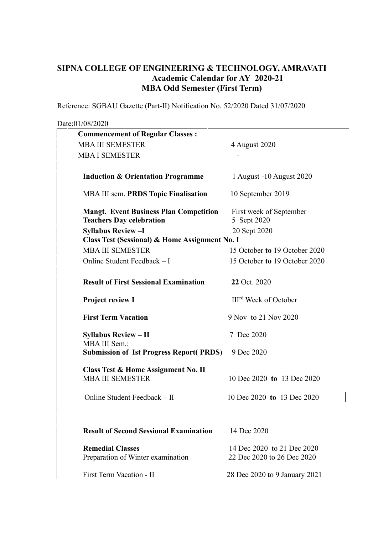### **SIPNA COLLEGE OF ENGINEERING & TECHNOLOGY, AMRAVATI Academic Calendar for AY 2020-21 MBA Odd Semester (First Term)**

Reference: SGBAU Gazette (Part-II) Notification No. 52/2020 Dated 31/07/2020

#### Date:01/08/2020

| <b>Commencement of Regular Classes:</b>        |                                   |
|------------------------------------------------|-----------------------------------|
| <b>MBA III SEMESTER</b>                        | 4 August 2020                     |
| <b>MBA I SEMESTER</b>                          |                                   |
| <b>Induction &amp; Orientation Programme</b>   | 1 August -10 August 2020          |
| <b>MBA III sem. PRDS Topic Finalisation</b>    | 10 September 2019                 |
| <b>Mangt. Event Business Plan Competition</b>  | First week of September           |
| <b>Teachers Day celebration</b>                | 5 Sept 2020                       |
| <b>Syllabus Review-I</b>                       | 20 Sept 2020                      |
| Class Test (Sessional) & Home Assignment No. I |                                   |
| <b>MBA III SEMESTER</b>                        | 15 October to 19 October 2020     |
| Online Student Feedback - I                    | 15 October to 19 October 2020     |
| <b>Result of First Sessional Examination</b>   | 22 Oct. 2020                      |
| <b>Project review I</b>                        | III <sup>rd</sup> Week of October |
| <b>First Term Vacation</b>                     | 9 Nov to 21 Nov 2020              |
| <b>Syllabus Review - II</b><br>MBA III Sem.:   | 7 Dec 2020                        |
| <b>Submission of Ist Progress Report(PRDS)</b> | 9 Dec 2020                        |
| Class Test & Home Assignment No. II            |                                   |
| <b>MBA III SEMESTER</b>                        | 10 Dec 2020 to 13 Dec 2020        |
| Online Student Feedback - II                   | 10 Dec 2020 to 13 Dec 2020        |
| <b>Result of Second Sessional Examination</b>  | 14 Dec 2020                       |
| <b>Remedial Classes</b>                        | 14 Dec 2020 to 21 Dec 2020        |
| Preparation of Winter examination              | 22 Dec 2020 to 26 Dec 2020        |
| First Term Vacation - II                       | 28 Dec 2020 to 9 January 2021     |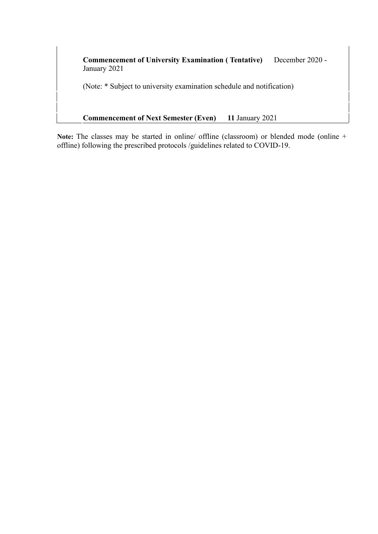**Commencement of University Examination ( Tentative)** December 2020 - January 2021

(Note: \* Subject to university examination schedule and notification)

**Commencement of Next Semester (Even) 11** January 2021